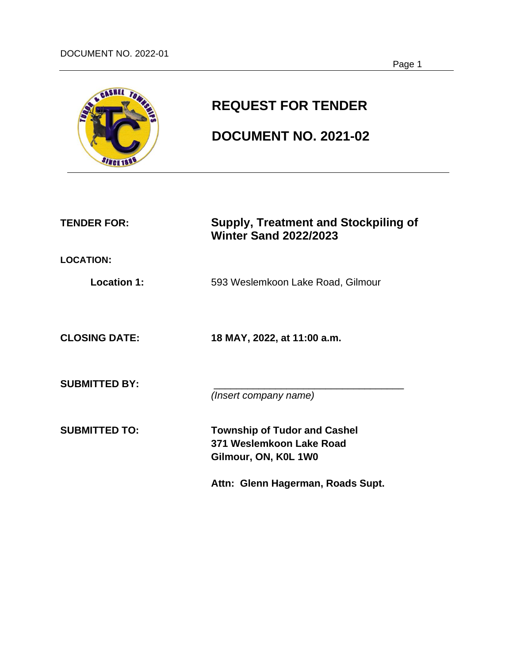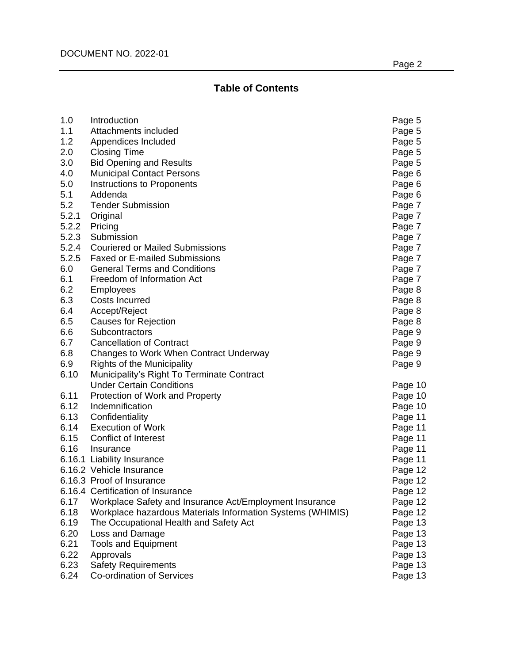# **Table of Contents**

| 1.0   | Introduction                                               | Page 5  |
|-------|------------------------------------------------------------|---------|
| 1.1   | Attachments included                                       | Page 5  |
| 1.2   | Appendices Included                                        | Page 5  |
| 2.0   | <b>Closing Time</b>                                        | Page 5  |
| 3.0   | <b>Bid Opening and Results</b>                             | Page 5  |
| 4.0   | <b>Municipal Contact Persons</b>                           | Page 6  |
| 5.0   | Instructions to Proponents                                 | Page 6  |
| 5.1   | Addenda                                                    | Page 6  |
| 5.2   | <b>Tender Submission</b>                                   | Page 7  |
| 5.2.1 | Original                                                   | Page 7  |
| 5.2.2 | Pricing                                                    | Page 7  |
| 5.2.3 | Submission                                                 | Page 7  |
| 5.2.4 | <b>Couriered or Mailed Submissions</b>                     | Page 7  |
| 5.2.5 | <b>Faxed or E-mailed Submissions</b>                       | Page 7  |
| 6.0   | <b>General Terms and Conditions</b>                        | Page 7  |
| 6.1   | Freedom of Information Act                                 | Page 7  |
| 6.2   | <b>Employees</b>                                           | Page 8  |
| 6.3   | <b>Costs Incurred</b>                                      | Page 8  |
| 6.4   | Accept/Reject                                              | Page 8  |
| 6.5   | <b>Causes for Rejection</b>                                | Page 8  |
| 6.6   | Subcontractors                                             | Page 9  |
| 6.7   | <b>Cancellation of Contract</b>                            | Page 9  |
| 6.8   | Changes to Work When Contract Underway                     | Page 9  |
| 6.9   | <b>Rights of the Municipality</b>                          | Page 9  |
| 6.10  | Municipality's Right To Terminate Contract                 |         |
|       | <b>Under Certain Conditions</b>                            | Page 10 |
| 6.11  | Protection of Work and Property                            | Page 10 |
| 6.12  | Indemnification                                            | Page 10 |
| 6.13  | Confidentiality                                            | Page 11 |
| 6.14  | <b>Execution of Work</b>                                   | Page 11 |
|       | 6.15 Conflict of Interest                                  | Page 11 |
| 6.16  | Insurance                                                  | Page 11 |
|       | 6.16.1 Liability Insurance                                 | Page 11 |
|       | 6.16.2 Vehicle Insurance                                   | Page 12 |
|       | 6.16.3 Proof of Insurance                                  | Page 12 |
|       | 6.16.4 Certification of Insurance                          | Page 12 |
| 6.17  | Workplace Safety and Insurance Act/Employment Insurance    | Page 12 |
| 6.18  | Workplace hazardous Materials Information Systems (WHIMIS) | Page 12 |
| 6.19  | The Occupational Health and Safety Act                     | Page 13 |
| 6.20  | Loss and Damage                                            | Page 13 |
| 6.21  | <b>Tools and Equipment</b>                                 | Page 13 |
| 6.22  | Approvals                                                  | Page 13 |
| 6.23  | <b>Safety Requirements</b>                                 | Page 13 |
| 6.24  | Co-ordination of Services                                  | Page 13 |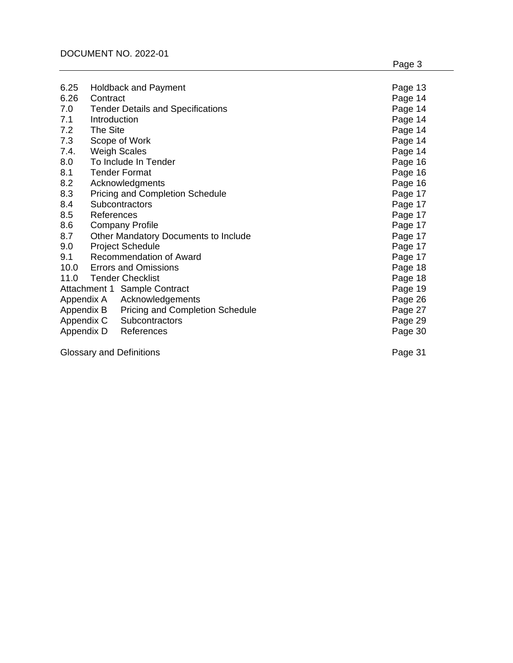| 6.25                            |                                      | <b>Holdback and Payment</b>              | Page 13 |
|---------------------------------|--------------------------------------|------------------------------------------|---------|
| 6.26                            | Contract                             |                                          | Page 14 |
| 7.0                             |                                      | <b>Tender Details and Specifications</b> | Page 14 |
| 7.1                             | Introduction                         |                                          | Page 14 |
| 7.2                             | The Site                             |                                          | Page 14 |
| 7.3                             |                                      | Scope of Work                            | Page 14 |
| 7.4.                            |                                      | <b>Weigh Scales</b>                      | Page 14 |
| 8.0                             |                                      | To Include In Tender                     | Page 16 |
| 8.1                             |                                      | <b>Tender Format</b>                     | Page 16 |
| 8.2                             |                                      | Acknowledgments                          | Page 16 |
| 8.3                             |                                      | <b>Pricing and Completion Schedule</b>   | Page 17 |
| 8.4                             | Subcontractors                       |                                          | Page 17 |
| 8.5                             | References                           |                                          | Page 17 |
| 8.6                             | <b>Company Profile</b>               |                                          | Page 17 |
| 8.7                             | Other Mandatory Documents to Include |                                          | Page 17 |
| 9.0                             |                                      | <b>Project Schedule</b>                  | Page 17 |
| 9.1                             |                                      | <b>Recommendation of Award</b>           | Page 17 |
|                                 |                                      | 10.0 Errors and Omissions                | Page 18 |
|                                 | 11.0 Tender Checklist                |                                          | Page 18 |
| Attachment 1 Sample Contract    |                                      |                                          | Page 19 |
|                                 | Appendix A                           | Acknowledgements                         | Page 26 |
|                                 | Appendix B                           | <b>Pricing and Completion Schedule</b>   | Page 27 |
|                                 | Appendix C                           | Subcontractors                           | Page 29 |
|                                 | Appendix D                           | References                               | Page 30 |
| <b>Glossary and Definitions</b> |                                      |                                          | Page 31 |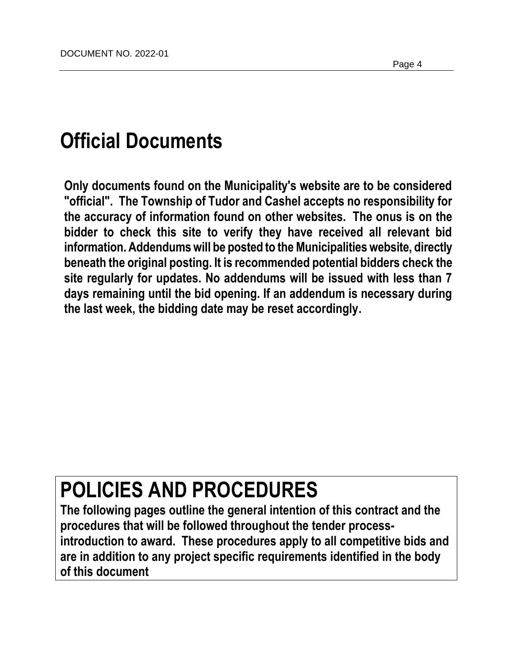# **Official Documents**

**Only documents found on the Municipality's website are to be considered "official". The Township of Tudor and Cashel accepts no responsibility for the accuracy of information found on other websites. The onus is on the bidder to check this site to verify they have received all relevant bid information. Addendums will be posted to the Municipalities website, directly beneath the original posting. It is recommended potential bidders check the site regularly for updates. No addendums will be issued with less than 7 days remaining until the bid opening. If an addendum is necessary during the last week, the bidding date may be reset accordingly.**

# **POLICIES AND PROCEDURES**

**The following pages outline the general intention of this contract and the procedures that will be followed throughout the tender processintroduction to award. These procedures apply to all competitive bids and are in addition to any project specific requirements identified in the body of this document**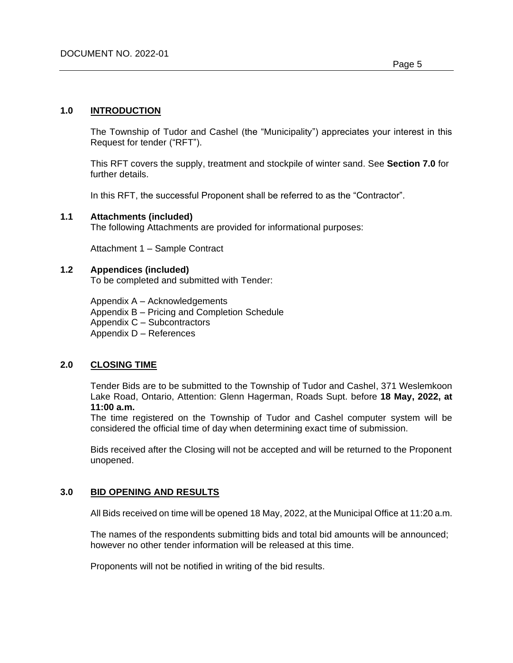## **1.0 INTRODUCTION**

The Township of Tudor and Cashel (the "Municipality") appreciates your interest in this Request for tender ("RFT").

This RFT covers the supply, treatment and stockpile of winter sand. See **Section 7.0** for further details.

In this RFT, the successful Proponent shall be referred to as the "Contractor".

## **1.1 Attachments (included)**

The following Attachments are provided for informational purposes:

Attachment 1 – Sample Contract

## **1.2 Appendices (included)**

To be completed and submitted with Tender:

Appendix A – Acknowledgements Appendix B – Pricing and Completion Schedule Appendix C – Subcontractors Appendix D – References

## **2.0 CLOSING TIME**

Tender Bids are to be submitted to the Township of Tudor and Cashel, 371 Weslemkoon Lake Road, Ontario, Attention: Glenn Hagerman, Roads Supt. before **18 May, 2022, at 11:00 a.m.**

The time registered on the Township of Tudor and Cashel computer system will be considered the official time of day when determining exact time of submission.

Bids received after the Closing will not be accepted and will be returned to the Proponent unopened.

## **3.0 BID OPENING AND RESULTS**

All Bids received on time will be opened 18 May, 2022, at the Municipal Office at 11:20 a.m.

The names of the respondents submitting bids and total bid amounts will be announced; however no other tender information will be released at this time.

Proponents will not be notified in writing of the bid results.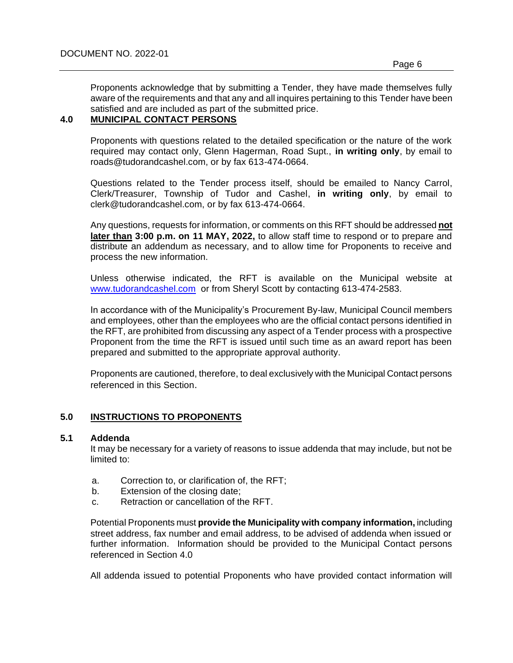Proponents acknowledge that by submitting a Tender, they have made themselves fully aware of the requirements and that any and all inquires pertaining to this Tender have been satisfied and are included as part of the submitted price.

## **4.0 MUNICIPAL CONTACT PERSONS**

Proponents with questions related to the detailed specification or the nature of the work required may contact only, Glenn Hagerman, Road Supt., **in writing only**, by email to roads@tudorandcashel.com, or by fax 613-474-0664.

Questions related to the Tender process itself, should be emailed to Nancy Carrol, Clerk/Treasurer, Township of Tudor and Cashel, **in writing only**, by email to clerk@tudorandcashel.com, or by fax 613-474-0664.

Any questions, requests for information, or comments on this RFT should be addressed **not later than 3:00 p.m. on 11 MAY, 2022,** to allow staff time to respond or to prepare and distribute an addendum as necessary, and to allow time for Proponents to receive and process the new information.

Unless otherwise indicated, the RFT is available on the Municipal website at [www.tudorandcashel.com](http://www.tudorandcashel.com/) or from Sheryl Scott by contacting 613-474-2583.

In accordance with of the Municipality's Procurement By-law, Municipal Council members and employees, other than the employees who are the official contact persons identified in the RFT, are prohibited from discussing any aspect of a Tender process with a prospective Proponent from the time the RFT is issued until such time as an award report has been prepared and submitted to the appropriate approval authority.

Proponents are cautioned, therefore, to deal exclusively with the Municipal Contact persons referenced in this Section.

## **5.0 INSTRUCTIONS TO PROPONENTS**

#### **5.1 Addenda**

It may be necessary for a variety of reasons to issue addenda that may include, but not be limited to:

- a. Correction to, or clarification of, the RFT;
- b. Extension of the closing date;
- c. Retraction or cancellation of the RFT.

Potential Proponents must **provide the Municipality with company information,** including street address, fax number and email address, to be advised of addenda when issued or further information. Information should be provided to the Municipal Contact persons referenced in Section 4.0

All addenda issued to potential Proponents who have provided contact information will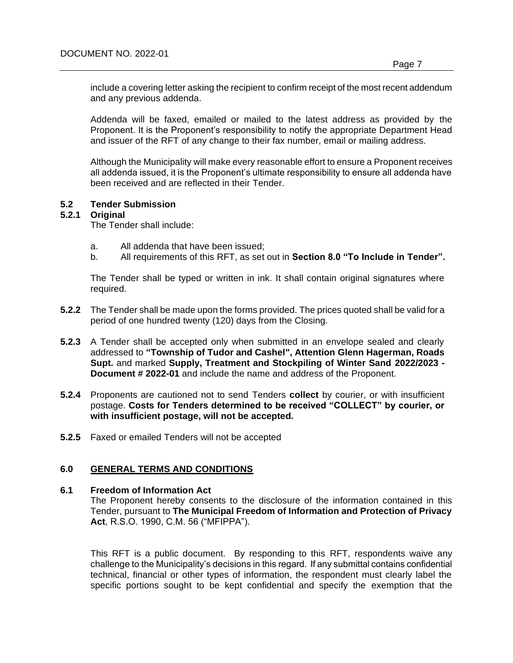include a covering letter asking the recipient to confirm receipt of the most recent addendum and any previous addenda.

Addenda will be faxed, emailed or mailed to the latest address as provided by the Proponent. It is the Proponent's responsibility to notify the appropriate Department Head and issuer of the RFT of any change to their fax number, email or mailing address.

Although the Municipality will make every reasonable effort to ensure a Proponent receives all addenda issued, it is the Proponent's ultimate responsibility to ensure all addenda have been received and are reflected in their Tender.

## **5.2 Tender Submission**

#### **5.2.1 Original**

The Tender shall include:

- a. All addenda that have been issued;
- b. All requirements of this RFT, as set out in **Section 8.0 "To Include in Tender".**

The Tender shall be typed or written in ink. It shall contain original signatures where required.

- **5.2.2** The Tender shall be made upon the forms provided. The prices quoted shall be valid for a period of one hundred twenty (120) days from the Closing.
- **5.2.3** A Tender shall be accepted only when submitted in an envelope sealed and clearly addressed to **"Township of Tudor and Cashel", Attention Glenn Hagerman, Roads Supt.** and marked **Supply, Treatment and Stockpiling of Winter Sand 2022/2023 - Document # 2022-01** and include the name and address of the Proponent.
- **5.2.4** Proponents are cautioned not to send Tenders **collect** by courier, or with insufficient postage. **Costs for Tenders determined to be received "COLLECT" by courier, or with insufficient postage, will not be accepted.**
- **5.2.5** Faxed or emailed Tenders will not be accepted

## **6.0 GENERAL TERMS AND CONDITIONS**

#### **6.1 Freedom of Information Act**

The Proponent hereby consents to the disclosure of the information contained in this Tender, pursuant to **The Municipal Freedom of Information and Protection of Privacy Act**, R.S.O. 1990, C.M. 56 ("MFIPPA").

This RFT is a public document. By responding to this RFT, respondents waive any challenge to the Municipality's decisions in this regard. If any submittal contains confidential technical, financial or other types of information, the respondent must clearly label the specific portions sought to be kept confidential and specify the exemption that the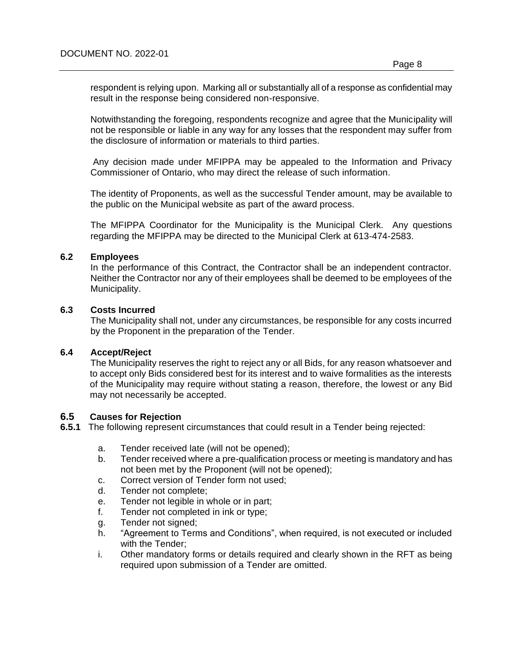respondent is relying upon. Marking all or substantially all of a response as confidential may result in the response being considered non-responsive.

Notwithstanding the foregoing, respondents recognize and agree that the Municipality will not be responsible or liable in any way for any losses that the respondent may suffer from the disclosure of information or materials to third parties.

Any decision made under MFIPPA may be appealed to the Information and Privacy Commissioner of Ontario, who may direct the release of such information.

The identity of Proponents, as well as the successful Tender amount, may be available to the public on the Municipal website as part of the award process.

The MFIPPA Coordinator for the Municipality is the Municipal Clerk. Any questions regarding the MFIPPA may be directed to the Municipal Clerk at 613-474-2583.

#### **6.2 Employees**

In the performance of this Contract, the Contractor shall be an independent contractor. Neither the Contractor nor any of their employees shall be deemed to be employees of the Municipality.

## **6.3 Costs Incurred**

The Municipality shall not, under any circumstances, be responsible for any costs incurred by the Proponent in the preparation of the Tender.

#### **6.4 Accept/Reject**

The Municipality reserves the right to reject any or all Bids, for any reason whatsoever and to accept only Bids considered best for its interest and to waive formalities as the interests of the Municipality may require without stating a reason, therefore, the lowest or any Bid may not necessarily be accepted.

## **6.5 Causes for Rejection**

**6.5.1** The following represent circumstances that could result in a Tender being rejected:

- a. Tender received late (will not be opened);
- b. Tender received where a pre-qualification process or meeting is mandatory and has not been met by the Proponent (will not be opened);
- c. Correct version of Tender form not used;
- d. Tender not complete;
- e. Tender not legible in whole or in part;
- f. Tender not completed in ink or type;
- g. Tender not signed;
- h. "Agreement to Terms and Conditions", when required, is not executed or included with the Tender;
- i. Other mandatory forms or details required and clearly shown in the RFT as being required upon submission of a Tender are omitted.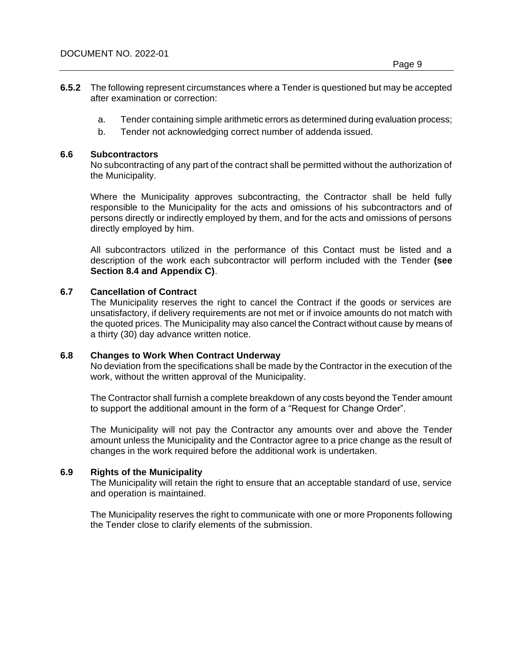- **6.5.2** The following represent circumstances where a Tender is questioned but may be accepted after examination or correction:
	- a. Tender containing simple arithmetic errors as determined during evaluation process;
	- b. Tender not acknowledging correct number of addenda issued.

#### **6.6 Subcontractors**

No subcontracting of any part of the contract shall be permitted without the authorization of the Municipality.

Where the Municipality approves subcontracting, the Contractor shall be held fully responsible to the Municipality for the acts and omissions of his subcontractors and of persons directly or indirectly employed by them, and for the acts and omissions of persons directly employed by him.

All subcontractors utilized in the performance of this Contact must be listed and a description of the work each subcontractor will perform included with the Tender **(see Section 8.4 and Appendix C)**.

## **6.7 Cancellation of Contract**

The Municipality reserves the right to cancel the Contract if the goods or services are unsatisfactory, if delivery requirements are not met or if invoice amounts do not match with the quoted prices. The Municipality may also cancel the Contract without cause by means of a thirty (30) day advance written notice.

#### **6.8 Changes to Work When Contract Underway**

No deviation from the specifications shall be made by the Contractor in the execution of the work, without the written approval of the Municipality.

The Contractor shall furnish a complete breakdown of any costs beyond the Tender amount to support the additional amount in the form of a "Request for Change Order".

The Municipality will not pay the Contractor any amounts over and above the Tender amount unless the Municipality and the Contractor agree to a price change as the result of changes in the work required before the additional work is undertaken.

## **6.9 Rights of the Municipality**

The Municipality will retain the right to ensure that an acceptable standard of use, service and operation is maintained.

The Municipality reserves the right to communicate with one or more Proponents following the Tender close to clarify elements of the submission.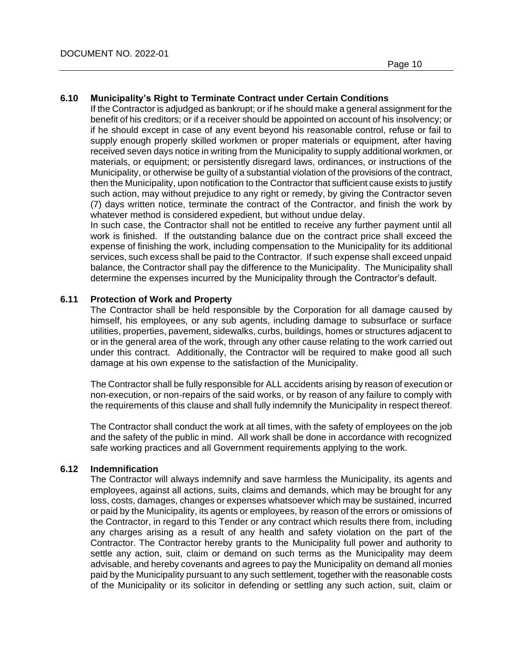#### **6.10 Municipality's Right to Terminate Contract under Certain Conditions**

If the Contractor is adjudged as bankrupt; or if he should make a general assignment for the benefit of his creditors; or if a receiver should be appointed on account of his insolvency; or if he should except in case of any event beyond his reasonable control, refuse or fail to supply enough properly skilled workmen or proper materials or equipment, after having received seven days notice in writing from the Municipality to supply additional workmen, or materials, or equipment; or persistently disregard laws, ordinances, or instructions of the Municipality, or otherwise be guilty of a substantial violation of the provisions of the contract, then the Municipality, upon notification to the Contractor that sufficient cause exists to justify such action, may without prejudice to any right or remedy, by giving the Contractor seven (7) days written notice, terminate the contract of the Contractor, and finish the work by whatever method is considered expedient, but without undue delay.

In such case, the Contractor shall not be entitled to receive any further payment until all work is finished. If the outstanding balance due on the contract price shall exceed the expense of finishing the work, including compensation to the Municipality for its additional services, such excess shall be paid to the Contractor. If such expense shall exceed unpaid balance, the Contractor shall pay the difference to the Municipality. The Municipality shall determine the expenses incurred by the Municipality through the Contractor's default.

#### **6.11 Protection of Work and Property**

The Contractor shall be held responsible by the Corporation for all damage caused by himself, his employees, or any sub agents, including damage to subsurface or surface utilities, properties, pavement, sidewalks, curbs, buildings, homes or structures adjacent to or in the general area of the work, through any other cause relating to the work carried out under this contract. Additionally, the Contractor will be required to make good all such damage at his own expense to the satisfaction of the Municipality.

The Contractor shall be fully responsible for ALL accidents arising by reason of execution or non-execution, or non-repairs of the said works, or by reason of any failure to comply with the requirements of this clause and shall fully indemnify the Municipality in respect thereof.

The Contractor shall conduct the work at all times, with the safety of employees on the job and the safety of the public in mind. All work shall be done in accordance with recognized safe working practices and all Government requirements applying to the work.

## **6.12 Indemnification**

The Contractor will always indemnify and save harmless the Municipality, its agents and employees, against all actions, suits, claims and demands, which may be brought for any loss, costs, damages, changes or expenses whatsoever which may be sustained, incurred or paid by the Municipality, its agents or employees, by reason of the errors or omissions of the Contractor, in regard to this Tender or any contract which results there from, including any charges arising as a result of any health and safety violation on the part of the Contractor. The Contractor hereby grants to the Municipality full power and authority to settle any action, suit, claim or demand on such terms as the Municipality may deem advisable, and hereby covenants and agrees to pay the Municipality on demand all monies paid by the Municipality pursuant to any such settlement, together with the reasonable costs of the Municipality or its solicitor in defending or settling any such action, suit, claim or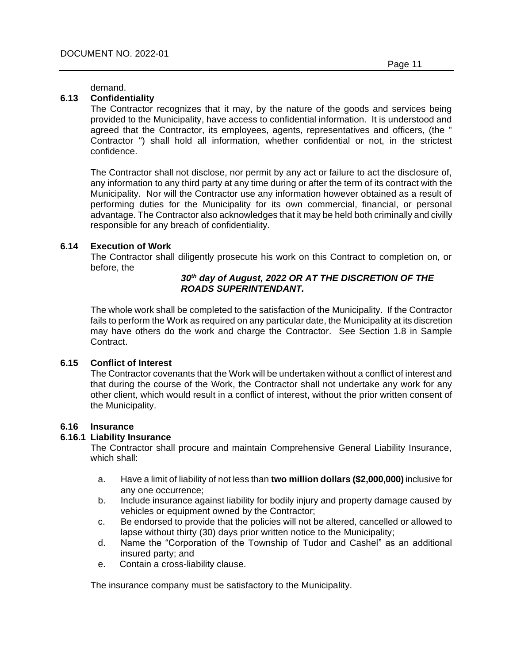demand.

## **6.13 Confidentiality**

The Contractor recognizes that it may, by the nature of the goods and services being provided to the Municipality, have access to confidential information. It is understood and agreed that the Contractor, its employees, agents, representatives and officers, (the " Contractor ") shall hold all information, whether confidential or not, in the strictest confidence.

The Contractor shall not disclose, nor permit by any act or failure to act the disclosure of, any information to any third party at any time during or after the term of its contract with the Municipality. Nor will the Contractor use any information however obtained as a result of performing duties for the Municipality for its own commercial, financial, or personal advantage. The Contractor also acknowledges that it may be held both criminally and civilly responsible for any breach of confidentiality.

## **6.14 Execution of Work**

The Contractor shall diligently prosecute his work on this Contract to completion on, or before, the

## *30th day of August, 2022 OR AT THE DISCRETION OF THE ROADS SUPERINTENDANT.*

The whole work shall be completed to the satisfaction of the Municipality. If the Contractor fails to perform the Work as required on any particular date, the Municipality at its discretion may have others do the work and charge the Contractor. See Section 1.8 in Sample Contract.

#### **6.15 Conflict of Interest**

The Contractor covenants that the Work will be undertaken without a conflict of interest and that during the course of the Work, the Contractor shall not undertake any work for any other client, which would result in a conflict of interest, without the prior written consent of the Municipality.

## **6.16 Insurance**

#### **6.16.1 Liability Insurance**

The Contractor shall procure and maintain Comprehensive General Liability Insurance, which shall:

- a. Have a limit of liability of not less than **two million dollars (\$2,000,000)** inclusive for any one occurrence;
- b. Include insurance against liability for bodily injury and property damage caused by vehicles or equipment owned by the Contractor;
- c. Be endorsed to provide that the policies will not be altered, cancelled or allowed to lapse without thirty (30) days prior written notice to the Municipality;
- d. Name the "Corporation of the Township of Tudor and Cashel" as an additional insured party; and
- e. Contain a cross-liability clause.

The insurance company must be satisfactory to the Municipality.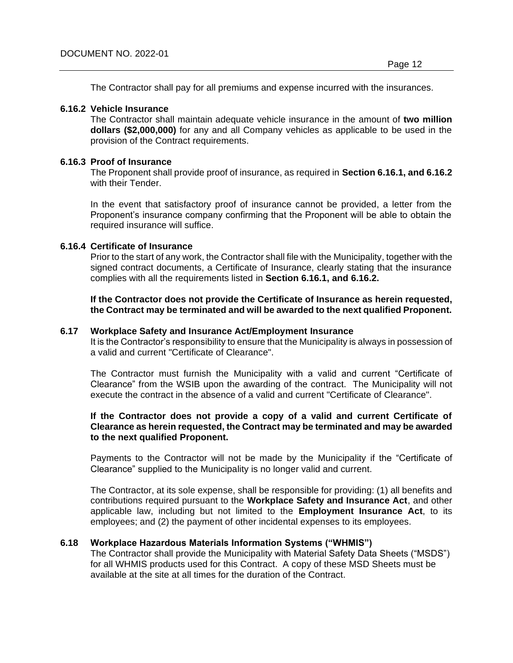The Contractor shall pay for all premiums and expense incurred with the insurances.

## **6.16.2 Vehicle Insurance**

The Contractor shall maintain adequate vehicle insurance in the amount of **two million dollars (\$2,000,000)** for any and all Company vehicles as applicable to be used in the provision of the Contract requirements.

## **6.16.3 Proof of Insurance**

The Proponent shall provide proof of insurance, as required in **Section 6.16.1, and 6.16.2**  with their Tender.

In the event that satisfactory proof of insurance cannot be provided, a letter from the Proponent's insurance company confirming that the Proponent will be able to obtain the required insurance will suffice.

## **6.16.4 Certificate of Insurance**

Prior to the start of any work, the Contractor shall file with the Municipality, together with the signed contract documents, a Certificate of Insurance, clearly stating that the insurance complies with all the requirements listed in **Section 6.16.1, and 6.16.2.**

**If the Contractor does not provide the Certificate of Insurance as herein requested, the Contract may be terminated and will be awarded to the next qualified Proponent.**

## **6.17 Workplace Safety and Insurance Act/Employment Insurance**

It is the Contractor's responsibility to ensure that the Municipality is always in possession of a valid and current "Certificate of Clearance".

The Contractor must furnish the Municipality with a valid and current "Certificate of Clearance" from the WSIB upon the awarding of the contract. The Municipality will not execute the contract in the absence of a valid and current "Certificate of Clearance".

#### **If the Contractor does not provide a copy of a valid and current Certificate of Clearance as herein requested, the Contract may be terminated and may be awarded to the next qualified Proponent.**

Payments to the Contractor will not be made by the Municipality if the "Certificate of Clearance" supplied to the Municipality is no longer valid and current.

The Contractor, at its sole expense, shall be responsible for providing: (1) all benefits and contributions required pursuant to the **Workplace Safety and Insurance Act**, and other applicable law, including but not limited to the **Employment Insurance Act**, to its employees; and (2) the payment of other incidental expenses to its employees.

## **6.18 Workplace Hazardous Materials Information Systems ("WHMIS")**

The Contractor shall provide the Municipality with Material Safety Data Sheets ("MSDS") for all WHMIS products used for this Contract. A copy of these MSD Sheets must be available at the site at all times for the duration of the Contract.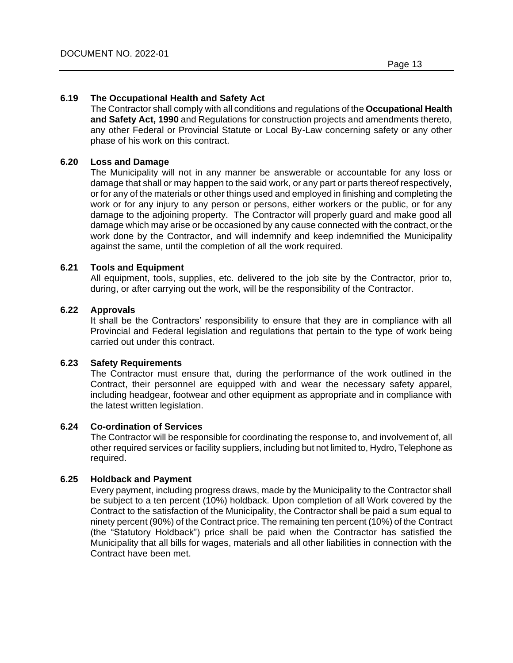## **6.19 The Occupational Health and Safety Act**

The Contractor shall comply with all conditions and regulations of the **Occupational Health and Safety Act, 1990** and Regulations for construction projects and amendments thereto, any other Federal or Provincial Statute or Local By-Law concerning safety or any other phase of his work on this contract.

## **6.20 Loss and Damage**

The Municipality will not in any manner be answerable or accountable for any loss or damage that shall or may happen to the said work, or any part or parts thereof respectively, or for any of the materials or other things used and employed in finishing and completing the work or for any injury to any person or persons, either workers or the public, or for any damage to the adjoining property. The Contractor will properly guard and make good all damage which may arise or be occasioned by any cause connected with the contract, or the work done by the Contractor, and will indemnify and keep indemnified the Municipality against the same, until the completion of all the work required.

## **6.21 Tools and Equipment**

All equipment, tools, supplies, etc. delivered to the job site by the Contractor, prior to, during, or after carrying out the work, will be the responsibility of the Contractor.

#### **6.22 Approvals**

It shall be the Contractors' responsibility to ensure that they are in compliance with all Provincial and Federal legislation and regulations that pertain to the type of work being carried out under this contract.

#### **6.23 Safety Requirements**

The Contractor must ensure that, during the performance of the work outlined in the Contract, their personnel are equipped with and wear the necessary safety apparel, including headgear, footwear and other equipment as appropriate and in compliance with the latest written legislation.

#### **6.24 Co-ordination of Services**

The Contractor will be responsible for coordinating the response to, and involvement of, all other required services or facility suppliers, including but not limited to, Hydro, Telephone as required.

## **6.25 Holdback and Payment**

Every payment, including progress draws, made by the Municipality to the Contractor shall be subject to a ten percent (10%) holdback. Upon completion of all Work covered by the Contract to the satisfaction of the Municipality, the Contractor shall be paid a sum equal to ninety percent (90%) of the Contract price. The remaining ten percent (10%) of the Contract (the "Statutory Holdback") price shall be paid when the Contractor has satisfied the Municipality that all bills for wages, materials and all other liabilities in connection with the Contract have been met.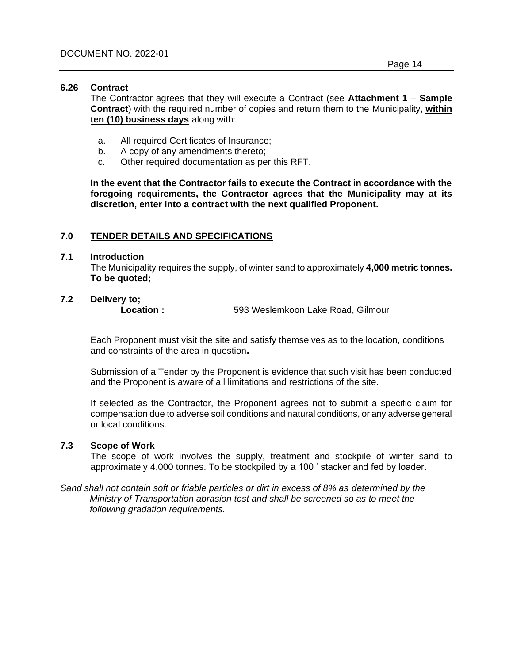#### **6.26 Contract**

The Contractor agrees that they will execute a Contract (see **Attachment 1** – **Sample Contract**) with the required number of copies and return them to the Municipality, **within ten (10) business days** along with:

- a. All required Certificates of Insurance;
- b. A copy of any amendments thereto;
- c. Other required documentation as per this RFT.

**In the event that the Contractor fails to execute the Contract in accordance with the foregoing requirements, the Contractor agrees that the Municipality may at its discretion, enter into a contract with the next qualified Proponent.**

## **7.0 TENDER DETAILS AND SPECIFICATIONS**

#### **7.1 Introduction**

The Municipality requires the supply, of winter sand to approximately **4,000 metric tonnes. To be quoted;**

# **7.2 Delivery to;**

**Location :** 593 Weslemkoon Lake Road, Gilmour

Each Proponent must visit the site and satisfy themselves as to the location, conditions and constraints of the area in question**.** 

Submission of a Tender by the Proponent is evidence that such visit has been conducted and the Proponent is aware of all limitations and restrictions of the site.

If selected as the Contractor, the Proponent agrees not to submit a specific claim for compensation due to adverse soil conditions and natural conditions, or any adverse general or local conditions.

#### **7.3 Scope of Work**

The scope of work involves the supply, treatment and stockpile of winter sand to approximately 4,000 tonnes. To be stockpiled by a 100 ' stacker and fed by loader.

*Sand shall not contain soft or friable particles or dirt in excess of 8% as determined by the Ministry of Transportation abrasion test and shall be screened so as to meet the following gradation requirements.*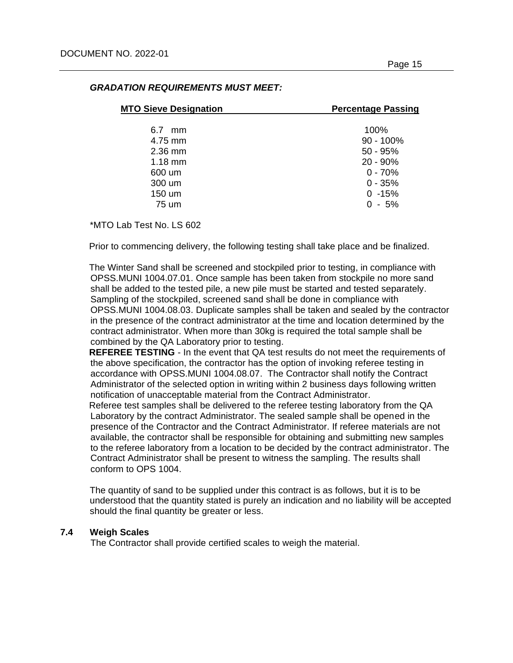| <b>MTO Sieve Designation</b> | <b>Percentage Passing</b> |
|------------------------------|---------------------------|
| 6.7 mm                       | 100%                      |
| 4.75 mm                      | $90 - 100\%$              |
| $2.36$ mm                    | $50 - 95%$                |
| $1.18$ mm                    | $20 - 90\%$               |
| 600 um                       | $0 - 70%$                 |
| 300 um                       | $0 - 35%$                 |
| 150 um                       | $0 - 15%$                 |
| 75 um                        | $0 - 5%$                  |

## *GRADATION REQUIREMENTS MUST MEET:*

\*MTO Lab Test No. LS 602

Prior to commencing delivery, the following testing shall take place and be finalized.

The Winter Sand shall be screened and stockpiled prior to testing, in compliance with OPSS.MUNI 1004.07.01. Once sample has been taken from stockpile no more sand shall be added to the tested pile, a new pile must be started and tested separately. Sampling of the stockpiled, screened sand shall be done in compliance with OPSS.MUNI 1004.08.03. Duplicate samples shall be taken and sealed by the contractor in the presence of the contract administrator at the time and location determined by the contract administrator. When more than 30kg is required the total sample shall be combined by the QA Laboratory prior to testing.

**REFEREE TESTING** - In the event that QA test results do not meet the requirements of the above specification, the contractor has the option of invoking referee testing in accordance with OPSS.MUNI 1004.08.07. The Contractor shall notify the Contract Administrator of the selected option in writing within 2 business days following written notification of unacceptable material from the Contract Administrator.

Referee test samples shall be delivered to the referee testing laboratory from the QA Laboratory by the contract Administrator. The sealed sample shall be opened in the presence of the Contractor and the Contract Administrator. If referee materials are not available, the contractor shall be responsible for obtaining and submitting new samples to the referee laboratory from a location to be decided by the contract administrator. The Contract Administrator shall be present to witness the sampling. The results shall conform to OPS 1004.

The quantity of sand to be supplied under this contract is as follows, but it is to be understood that the quantity stated is purely an indication and no liability will be accepted should the final quantity be greater or less.

## **7.4 Weigh Scales**

The Contractor shall provide certified scales to weigh the material.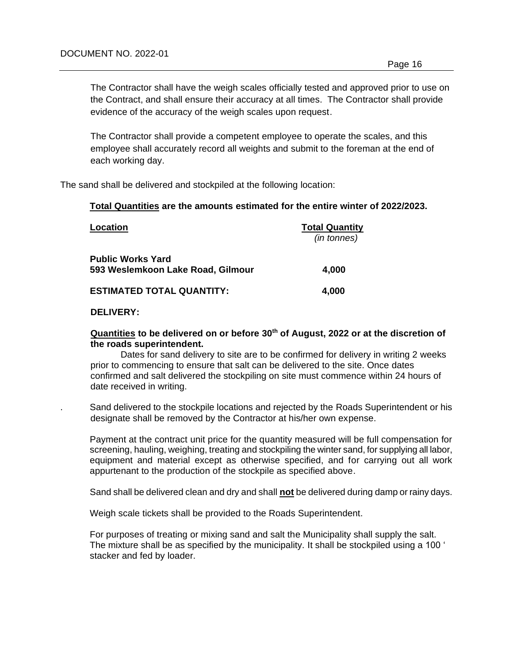The Contractor shall have the weigh scales officially tested and approved prior to use on the Contract, and shall ensure their accuracy at all times. The Contractor shall provide evidence of the accuracy of the weigh scales upon request.

The Contractor shall provide a competent employee to operate the scales, and this employee shall accurately record all weights and submit to the foreman at the end of each working day.

The sand shall be delivered and stockpiled at the following location:

#### **Total Quantities are the amounts estimated for the entire winter of 2022/2023.**

| Location                          | <b>Total Quantity</b> |
|-----------------------------------|-----------------------|
|                                   | (in tonnes)           |
| <b>Public Works Yard</b>          |                       |
| 593 Weslemkoon Lake Road, Gilmour | 4,000                 |
| <b>ESTIMATED TOTAL QUANTITY:</b>  | 4,000                 |

#### **DELIVERY:**

#### **Quantities to be delivered on or before 30th of August, 2022 or at the discretion of the roads superintendent.**

Dates for sand delivery to site are to be confirmed for delivery in writing 2 weeks prior to commencing to ensure that salt can be delivered to the site. Once dates confirmed and salt delivered the stockpiling on site must commence within 24 hours of date received in writing.

. Sand delivered to the stockpile locations and rejected by the Roads Superintendent or his designate shall be removed by the Contractor at his/her own expense.

Payment at the contract unit price for the quantity measured will be full compensation for screening, hauling, weighing, treating and stockpiling the winter sand, for supplying all labor, equipment and material except as otherwise specified, and for carrying out all work appurtenant to the production of the stockpile as specified above.

Sand shall be delivered clean and dry and shall **not** be delivered during damp or rainy days.

Weigh scale tickets shall be provided to the Roads Superintendent.

For purposes of treating or mixing sand and salt the Municipality shall supply the salt. The mixture shall be as specified by the municipality. It shall be stockpiled using a 100 ' stacker and fed by loader.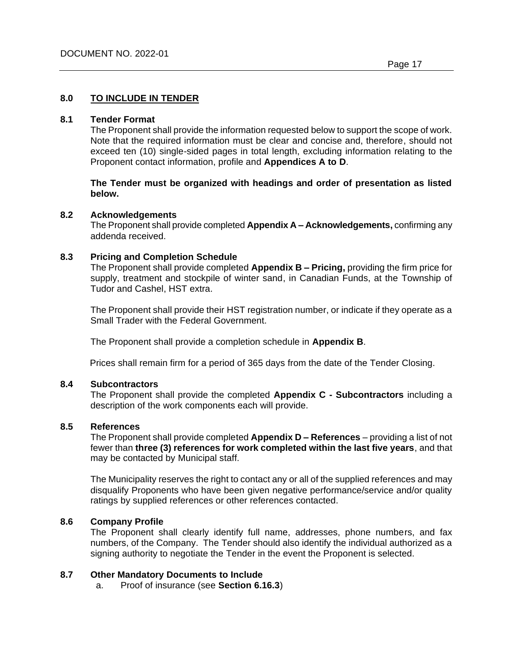## **8.0 TO INCLUDE IN TENDER**

#### **8.1 Tender Format**

The Proponent shall provide the information requested below to support the scope of work. Note that the required information must be clear and concise and, therefore, should not exceed ten (10) single-sided pages in total length, excluding information relating to the Proponent contact information, profile and **Appendices A to D**.

**The Tender must be organized with headings and order of presentation as listed below.**

#### **8.2 Acknowledgements**

The Proponent shall provide completed **Appendix A – Acknowledgements,** confirming any addenda received.

#### **8.3 Pricing and Completion Schedule**

The Proponent shall provide completed **Appendix B – Pricing,** providing the firm price for supply, treatment and stockpile of winter sand, in Canadian Funds, at the Township of Tudor and Cashel, HST extra.

The Proponent shall provide their HST registration number, or indicate if they operate as a Small Trader with the Federal Government.

The Proponent shall provide a completion schedule in **Appendix B**.

Prices shall remain firm for a period of 365 days from the date of the Tender Closing.

## **8.4 Subcontractors**

The Proponent shall provide the completed **Appendix C - Subcontractors** including a description of the work components each will provide.

#### **8.5 References**

The Proponent shall provide completed **Appendix D – References** – providing a list of not fewer than **three (3) references for work completed within the last five years**, and that may be contacted by Municipal staff.

The Municipality reserves the right to contact any or all of the supplied references and may disqualify Proponents who have been given negative performance/service and/or quality ratings by supplied references or other references contacted.

## **8.6 Company Profile**

The Proponent shall clearly identify full name, addresses, phone numbers, and fax numbers, of the Company. The Tender should also identify the individual authorized as a signing authority to negotiate the Tender in the event the Proponent is selected.

#### **8.7 Other Mandatory Documents to Include**

a. Proof of insurance (see **Section 6.16.3**)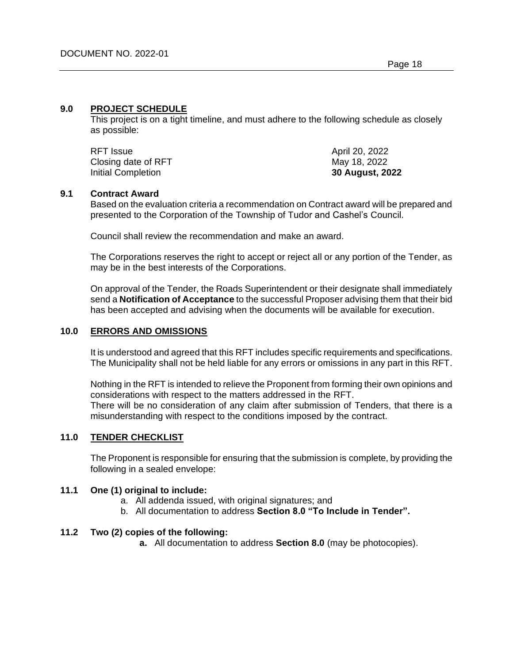#### **9.0 PROJECT SCHEDULE**

This project is on a tight timeline, and must adhere to the following schedule as closely as possible:

| RFT Issue           | April 20, 2022  |
|---------------------|-----------------|
| Closing date of RFT | May 18, 2022    |
| Initial Completion  | 30 August, 2022 |

## **9.1 Contract Award**

Based on the evaluation criteria a recommendation on Contract award will be prepared and presented to the Corporation of the Township of Tudor and Cashel's Council.

Council shall review the recommendation and make an award.

The Corporations reserves the right to accept or reject all or any portion of the Tender, as may be in the best interests of the Corporations.

On approval of the Tender, the Roads Superintendent or their designate shall immediately send a **Notification of Acceptance** to the successful Proposer advising them that their bid has been accepted and advising when the documents will be available for execution.

## **10.0 ERRORS AND OMISSIONS**

It is understood and agreed that this RFT includes specific requirements and specifications. The Municipality shall not be held liable for any errors or omissions in any part in this RFT.

Nothing in the RFT is intended to relieve the Proponent from forming their own opinions and considerations with respect to the matters addressed in the RFT.

There will be no consideration of any claim after submission of Tenders, that there is a misunderstanding with respect to the conditions imposed by the contract.

## **11.0 TENDER CHECKLIST**

The Proponent is responsible for ensuring that the submission is complete, by providing the following in a sealed envelope:

#### **11.1 One (1) original to include:**

- a. All addenda issued, with original signatures; and
- b. All documentation to address **Section 8.0 "To Include in Tender".**

#### **11.2 Two (2) copies of the following:**

**a.** All documentation to address **Section 8.0** (may be photocopies).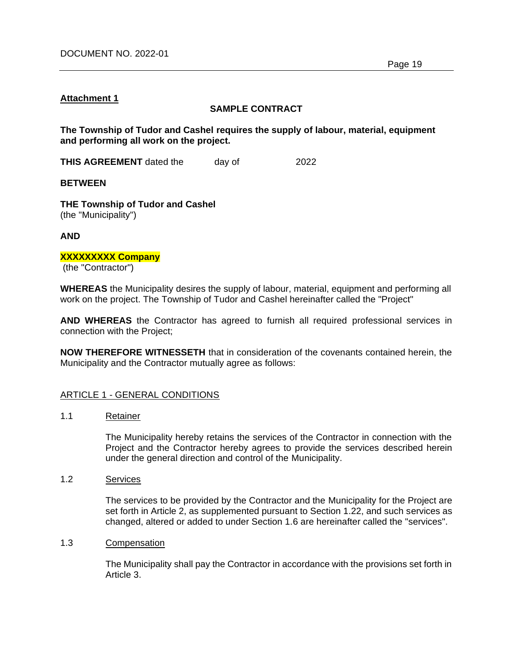## **Attachment 1**

## **SAMPLE CONTRACT**

**The Township of Tudor and Cashel requires the supply of labour, material, equipment and performing all work on the project.**

**THIS AGREEMENT** dated the day of 2022

**BETWEEN**

**THE Township of Tudor and Cashel** (the "Municipality")

**AND**

## **XXXXXXXXX Company**

(the "Contractor")

**WHEREAS** the Municipality desires the supply of labour, material, equipment and performing all work on the project. The Township of Tudor and Cashel hereinafter called the "Project"

**AND WHEREAS** the Contractor has agreed to furnish all required professional services in connection with the Project;

**NOW THEREFORE WITNESSETH** that in consideration of the covenants contained herein, the Municipality and the Contractor mutually agree as follows:

## ARTICLE 1 - GENERAL CONDITIONS

1.1 Retainer

The Municipality hereby retains the services of the Contractor in connection with the Project and the Contractor hereby agrees to provide the services described herein under the general direction and control of the Municipality.

1.2 Services

The services to be provided by the Contractor and the Municipality for the Project are set forth in Article 2, as supplemented pursuant to Section 1.22, and such services as changed, altered or added to under Section 1.6 are hereinafter called the "services".

1.3 Compensation

The Municipality shall pay the Contractor in accordance with the provisions set forth in Article 3.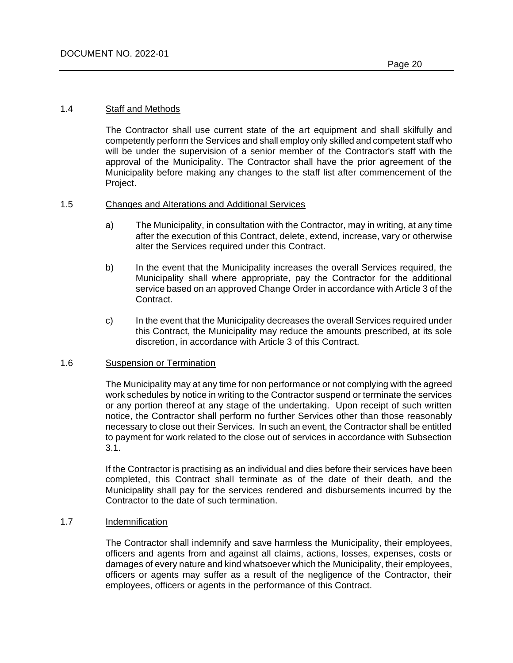#### 1.4 Staff and Methods

The Contractor shall use current state of the art equipment and shall skilfully and competently perform the Services and shall employ only skilled and competent staff who will be under the supervision of a senior member of the Contractor's staff with the approval of the Municipality. The Contractor shall have the prior agreement of the Municipality before making any changes to the staff list after commencement of the Project.

#### 1.5 Changes and Alterations and Additional Services

- a) The Municipality, in consultation with the Contractor, may in writing, at any time after the execution of this Contract, delete, extend, increase, vary or otherwise alter the Services required under this Contract.
- b) In the event that the Municipality increases the overall Services required, the Municipality shall where appropriate, pay the Contractor for the additional service based on an approved Change Order in accordance with Article 3 of the Contract.
- c) In the event that the Municipality decreases the overall Services required under this Contract, the Municipality may reduce the amounts prescribed, at its sole discretion, in accordance with Article 3 of this Contract.

#### 1.6 Suspension or Termination

The Municipality may at any time for non performance or not complying with the agreed work schedules by notice in writing to the Contractor suspend or terminate the services or any portion thereof at any stage of the undertaking. Upon receipt of such written notice, the Contractor shall perform no further Services other than those reasonably necessary to close out their Services. In such an event, the Contractor shall be entitled to payment for work related to the close out of services in accordance with Subsection 3.1.

If the Contractor is practising as an individual and dies before their services have been completed, this Contract shall terminate as of the date of their death, and the Municipality shall pay for the services rendered and disbursements incurred by the Contractor to the date of such termination.

#### 1.7 Indemnification

The Contractor shall indemnify and save harmless the Municipality, their employees, officers and agents from and against all claims, actions, losses, expenses, costs or damages of every nature and kind whatsoever which the Municipality, their employees, officers or agents may suffer as a result of the negligence of the Contractor, their employees, officers or agents in the performance of this Contract.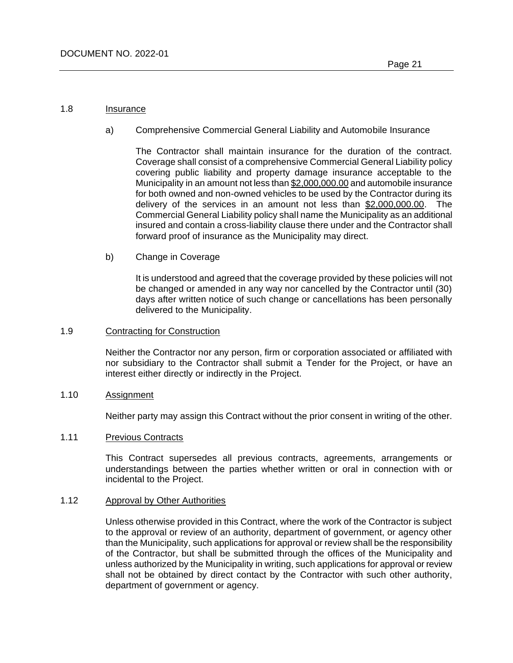#### 1.8 Insurance

a) Comprehensive Commercial General Liability and Automobile Insurance

The Contractor shall maintain insurance for the duration of the contract. Coverage shall consist of a comprehensive Commercial General Liability policy covering public liability and property damage insurance acceptable to the Municipality in an amount not less than \$2,000,000.00 and automobile insurance for both owned and non-owned vehicles to be used by the Contractor during its delivery of the services in an amount not less than \$2,000,000.00. The Commercial General Liability policy shall name the Municipality as an additional insured and contain a cross-liability clause there under and the Contractor shall forward proof of insurance as the Municipality may direct.

b) Change in Coverage

It is understood and agreed that the coverage provided by these policies will not be changed or amended in any way nor cancelled by the Contractor until (30) days after written notice of such change or cancellations has been personally delivered to the Municipality.

#### 1.9 Contracting for Construction

Neither the Contractor nor any person, firm or corporation associated or affiliated with nor subsidiary to the Contractor shall submit a Tender for the Project, or have an interest either directly or indirectly in the Project.

#### 1.10 Assignment

Neither party may assign this Contract without the prior consent in writing of the other.

#### 1.11 Previous Contracts

This Contract supersedes all previous contracts, agreements, arrangements or understandings between the parties whether written or oral in connection with or incidental to the Project.

#### 1.12 Approval by Other Authorities

Unless otherwise provided in this Contract, where the work of the Contractor is subject to the approval or review of an authority, department of government, or agency other than the Municipality, such applications for approval or review shall be the responsibility of the Contractor, but shall be submitted through the offices of the Municipality and unless authorized by the Municipality in writing, such applications for approval or review shall not be obtained by direct contact by the Contractor with such other authority, department of government or agency.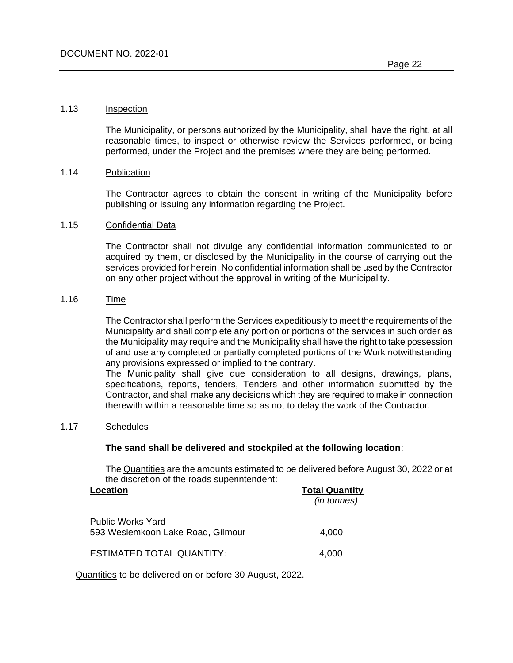#### 1.13 Inspection

The Municipality, or persons authorized by the Municipality, shall have the right, at all reasonable times, to inspect or otherwise review the Services performed, or being performed, under the Project and the premises where they are being performed.

#### 1.14 Publication

The Contractor agrees to obtain the consent in writing of the Municipality before publishing or issuing any information regarding the Project.

#### 1.15 Confidential Data

The Contractor shall not divulge any confidential information communicated to or acquired by them, or disclosed by the Municipality in the course of carrying out the services provided for herein. No confidential information shall be used by the Contractor on any other project without the approval in writing of the Municipality.

## 1.16 Time

The Contractor shall perform the Services expeditiously to meet the requirements of the Municipality and shall complete any portion or portions of the services in such order as the Municipality may require and the Municipality shall have the right to take possession of and use any completed or partially completed portions of the Work notwithstanding any provisions expressed or implied to the contrary.

The Municipality shall give due consideration to all designs, drawings, plans, specifications, reports, tenders, Tenders and other information submitted by the Contractor, and shall make any decisions which they are required to make in connection therewith within a reasonable time so as not to delay the work of the Contractor.

#### 1.17 Schedules

#### **The sand shall be delivered and stockpiled at the following location**:

The Quantities are the amounts estimated to be delivered before August 30, 2022 or at the discretion of the roads superintendent:

| Location                                                      | <b>Total Quantity</b> |
|---------------------------------------------------------------|-----------------------|
|                                                               | (in tonnes)           |
| <b>Public Works Yard</b><br>593 Weslemkoon Lake Road, Gilmour | 4,000                 |
| <b>ESTIMATED TOTAL QUANTITY:</b>                              | 4,000                 |

Quantities to be delivered on or before 30 August, 2022.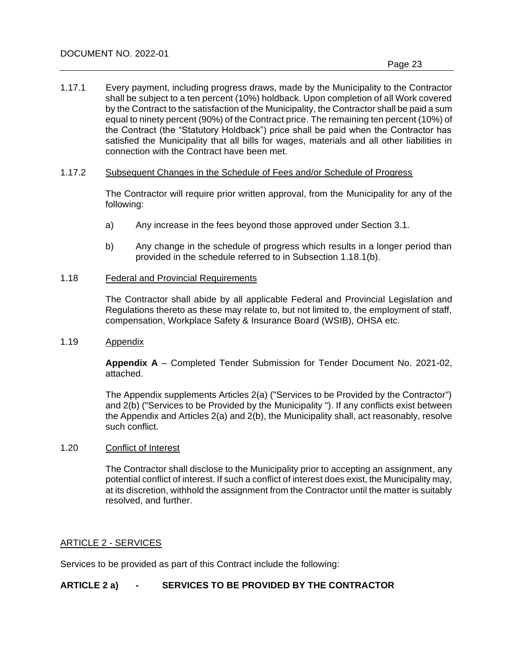1.17.1 Every payment, including progress draws, made by the Municipality to the Contractor shall be subject to a ten percent (10%) holdback. Upon completion of all Work covered by the Contract to the satisfaction of the Municipality, the Contractor shall be paid a sum equal to ninety percent (90%) of the Contract price. The remaining ten percent (10%) of the Contract (the "Statutory Holdback") price shall be paid when the Contractor has satisfied the Municipality that all bills for wages, materials and all other liabilities in connection with the Contract have been met.

#### 1.17.2 Subsequent Changes in the Schedule of Fees and/or Schedule of Progress

The Contractor will require prior written approval, from the Municipality for any of the following:

- a) Any increase in the fees beyond those approved under Section 3.1.
- b) Any change in the schedule of progress which results in a longer period than provided in the schedule referred to in Subsection 1.18.1(b).

#### 1.18 Federal and Provincial Requirements

The Contractor shall abide by all applicable Federal and Provincial Legislation and Regulations thereto as these may relate to, but not limited to, the employment of staff, compensation, Workplace Safety & Insurance Board (WSIB), OHSA etc.

## 1.19 Appendix

**Appendix A** – Completed Tender Submission for Tender Document No. 2021-02, attached.

The Appendix supplements Articles 2(a) ("Services to be Provided by the Contractor") and 2(b) ("Services to be Provided by the Municipality "). If any conflicts exist between the Appendix and Articles 2(a) and 2(b), the Municipality shall, act reasonably, resolve such conflict.

## 1.20 Conflict of Interest

The Contractor shall disclose to the Municipality prior to accepting an assignment, any potential conflict of interest. If such a conflict of interest does exist, the Municipality may, at its discretion, withhold the assignment from the Contractor until the matter is suitably resolved, and further.

## ARTICLE 2 - SERVICES

Services to be provided as part of this Contract include the following:

## **ARTICLE 2 a) - SERVICES TO BE PROVIDED BY THE CONTRACTOR**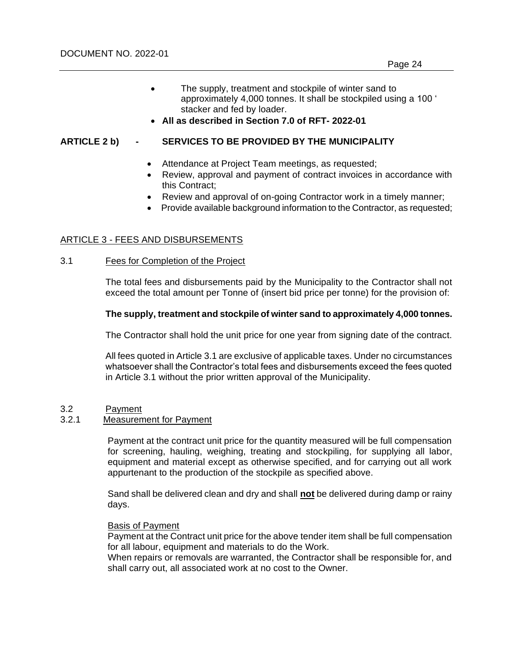• **All as described in Section 7.0 of RFT- 2022-01**

## **ARTICLE 2 b) - SERVICES TO BE PROVIDED BY THE MUNICIPALITY**

- Attendance at Project Team meetings, as requested;
- Review, approval and payment of contract invoices in accordance with this Contract;
- Review and approval of on-going Contractor work in a timely manner;
- Provide available background information to the Contractor, as requested;

## ARTICLE 3 - FEES AND DISBURSEMENTS

## 3.1 Fees for Completion of the Project

The total fees and disbursements paid by the Municipality to the Contractor shall not exceed the total amount per Tonne of (insert bid price per tonne) for the provision of:

## **The supply, treatment and stockpile of winter sand to approximately 4,000 tonnes.**

The Contractor shall hold the unit price for one year from signing date of the contract.

All fees quoted in Article 3.1 are exclusive of applicable taxes. Under no circumstances whatsoever shall the Contractor's total fees and disbursements exceed the fees quoted in Article 3.1 without the prior written approval of the Municipality.

## 3.2 Payment

## 3.2.1 Measurement for Payment

Payment at the contract unit price for the quantity measured will be full compensation for screening, hauling, weighing, treating and stockpiling, for supplying all labor, equipment and material except as otherwise specified, and for carrying out all work appurtenant to the production of the stockpile as specified above.

Sand shall be delivered clean and dry and shall **not** be delivered during damp or rainy days.

#### Basis of Payment

Payment at the Contract unit price for the above tender item shall be full compensation for all labour, equipment and materials to do the Work.

When repairs or removals are warranted, the Contractor shall be responsible for, and shall carry out, all associated work at no cost to the Owner.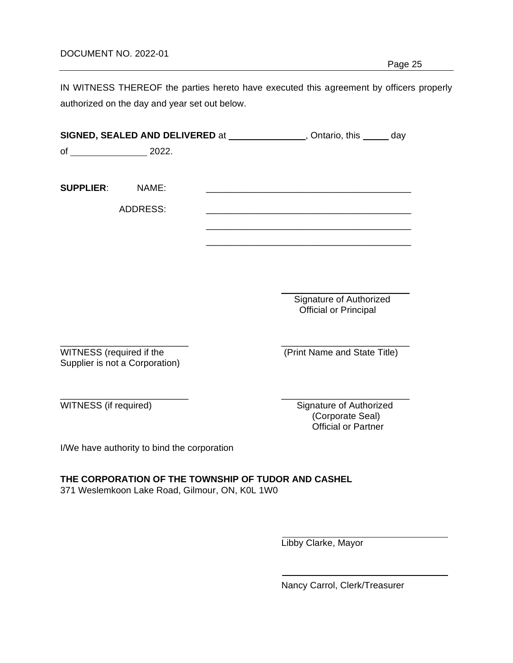## DOCUMENT NO. 2022-01

IN WITNESS THEREOF the parties hereto have executed this agreement by officers properly authorized on the day and year set out below.

|                          |                                             |                                                     | <b>SIGNED, SEALED AND DELIVERED</b> at _______________, Ontario, this ______ day                                      |
|--------------------------|---------------------------------------------|-----------------------------------------------------|-----------------------------------------------------------------------------------------------------------------------|
|                          |                                             |                                                     |                                                                                                                       |
|                          |                                             |                                                     |                                                                                                                       |
| <b>SUPPLIER: NAME:</b>   |                                             |                                                     | <u> 1989 - Johann Barbara, martin amerikan basar dan berasal dan berasal dalam basar dalam basar dalam basar dala</u> |
|                          | <b>ADDRESS:</b>                             |                                                     |                                                                                                                       |
|                          |                                             |                                                     |                                                                                                                       |
|                          |                                             |                                                     |                                                                                                                       |
|                          |                                             |                                                     |                                                                                                                       |
|                          |                                             |                                                     |                                                                                                                       |
|                          |                                             |                                                     | Signature of Authorized                                                                                               |
|                          |                                             |                                                     | <b>Official or Principal</b>                                                                                          |
|                          |                                             |                                                     |                                                                                                                       |
| WITNESS (required if the |                                             |                                                     | (Print Name and State Title)                                                                                          |
|                          | Supplier is not a Corporation)              |                                                     |                                                                                                                       |
|                          |                                             |                                                     |                                                                                                                       |
| WITNESS (if required)    |                                             |                                                     | Signature of Authorized                                                                                               |
|                          |                                             |                                                     | (Corporate Seal)<br><b>Official or Partner</b>                                                                        |
|                          | I/We have authority to bind the corporation |                                                     |                                                                                                                       |
|                          |                                             |                                                     |                                                                                                                       |
|                          |                                             | THE CORPORATION OF THE TOWNSHIP OF TUDOR AND CASHEL |                                                                                                                       |
|                          |                                             | 371 Weslemkoon Lake Road, Gilmour, ON, K0L 1W0      |                                                                                                                       |
|                          |                                             |                                                     |                                                                                                                       |
|                          |                                             |                                                     |                                                                                                                       |
|                          |                                             |                                                     | Libby Clarke, Mayor                                                                                                   |
|                          |                                             |                                                     |                                                                                                                       |

Nancy Carrol, Clerk/Treasurer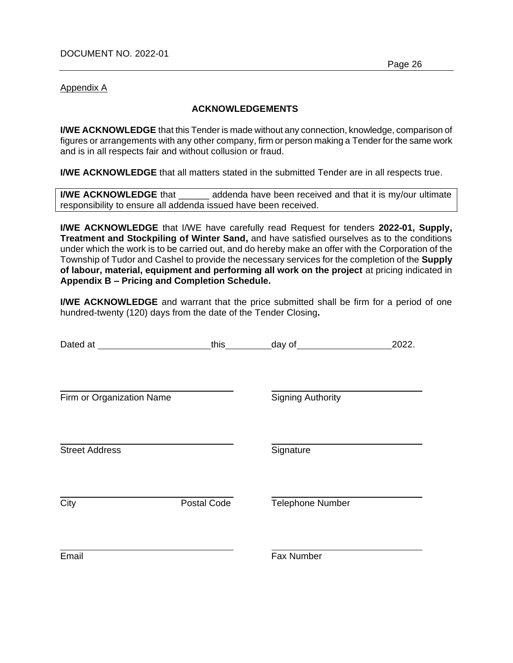Appendix A

## **ACKNOWLEDGEMENTS**

**I/WE ACKNOWLEDGE** that this Tender is made without any connection, knowledge, comparison of figures or arrangements with any other company, firm or person making a Tender for the same work and is in all respects fair and without collusion or fraud.

**I/WE ACKNOWLEDGE** that all matters stated in the submitted Tender are in all respects true.

**I/WE ACKNOWLEDGE** that addenda have been received and that it is my/our ultimate responsibility to ensure all addenda issued have been received.

**I/WE ACKNOWLEDGE** that I/WE have carefully read Request for tenders **2022-01, Supply, Treatment and Stockpiling of Winter Sand,** and have satisfied ourselves as to the conditions under which the work is to be carried out, and do hereby make an offer with the Corporation of the Township of Tudor and Cashel to provide the necessary services for the completion of the **Supply of labour, material, equipment and performing all work on the project** at pricing indicated in **Appendix B – Pricing and Completion Schedule.**

**I/WE ACKNOWLEDGE** and warrant that the price submitted shall be firm for a period of one hundred-twenty (120) days from the date of the Tender Closing**.**

|                           | this        | day of                   | 2022. |
|---------------------------|-------------|--------------------------|-------|
|                           |             |                          |       |
| Firm or Organization Name |             | <b>Signing Authority</b> |       |
|                           |             |                          |       |
| <b>Street Address</b>     |             | Signature                |       |
|                           |             |                          |       |
| City                      | Postal Code | Telephone Number         |       |
|                           |             |                          |       |
| Email                     |             | Fax Number               |       |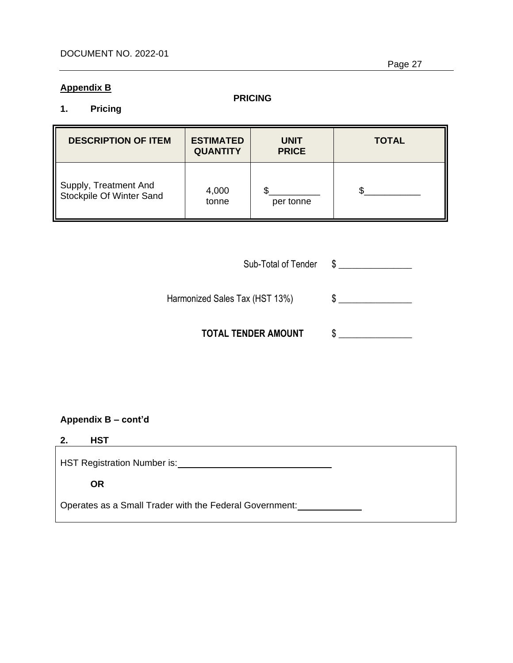## **Appendix B**

## **PRICING**

## **1. Pricing**

| <b>DESCRIPTION OF ITEM</b>                        | <b>ESTIMATED</b><br><b>QUANTITY</b> | <b>UNIT</b><br><b>PRICE</b> | <b>TOTAL</b> |
|---------------------------------------------------|-------------------------------------|-----------------------------|--------------|
| Supply, Treatment And<br>Stockpile Of Winter Sand | 4,000<br>tonne                      | per tonne                   |              |

| Sub-Total of Tender |  |
|---------------------|--|
|                     |  |

Harmonized Sales Tax (HST 13%)\$ \_\_\_\_\_\_\_\_\_\_\_\_\_\_\_\_

 **TOTAL TENDER AMOUNT** \$ \_\_\_\_\_\_\_\_\_\_\_\_\_\_\_\_

**Appendix B – cont'd**

# **2. HST**

HST Registration Number is:

**OR**

Operates as a Small Trader with the Federal Government: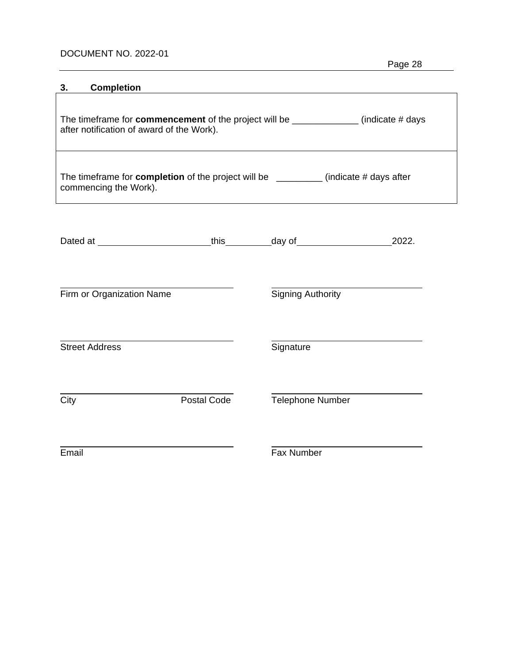# DOCUMENT NO. 2022-01

| Page 28 |
|---------|
|---------|

| 3.    | <b>Completion</b>                                                                                             |             |                          |                                                                                              |
|-------|---------------------------------------------------------------------------------------------------------------|-------------|--------------------------|----------------------------------------------------------------------------------------------|
|       | after notification of award of the Work).                                                                     |             |                          | The timeframe for <b>commencement</b> of the project will be ______________ (indicate # days |
|       | The timeframe for completion of the project will be _________ (indicate # days after<br>commencing the Work). |             |                          |                                                                                              |
|       |                                                                                                               |             |                          |                                                                                              |
|       | Firm or Organization Name                                                                                     |             | <b>Signing Authority</b> |                                                                                              |
|       | <b>Street Address</b>                                                                                         |             | Signature                |                                                                                              |
| City  |                                                                                                               | Postal Code | <b>Telephone Number</b>  |                                                                                              |
| Email |                                                                                                               |             | Fax Number               |                                                                                              |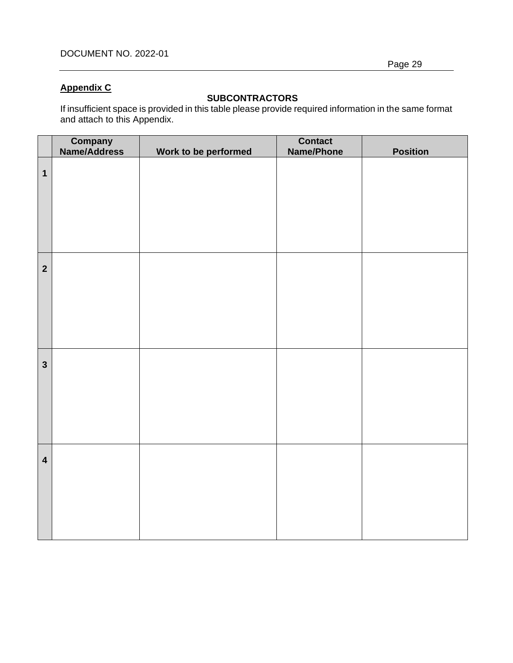# **Appendix C**

# **SUBCONTRACTORS**

If insufficient space is provided in this table please provide required information in the same format and attach to this Appendix.

|                         | <b>Company</b><br>Name/Address | Work to be performed | <b>Contact</b><br><b>Name/Phone</b> | <b>Position</b> |
|-------------------------|--------------------------------|----------------------|-------------------------------------|-----------------|
| $\mathbf{1}$            |                                |                      |                                     |                 |
| $\overline{2}$          |                                |                      |                                     |                 |
| $\overline{\mathbf{3}}$ |                                |                      |                                     |                 |
| $\overline{\mathbf{4}}$ |                                |                      |                                     |                 |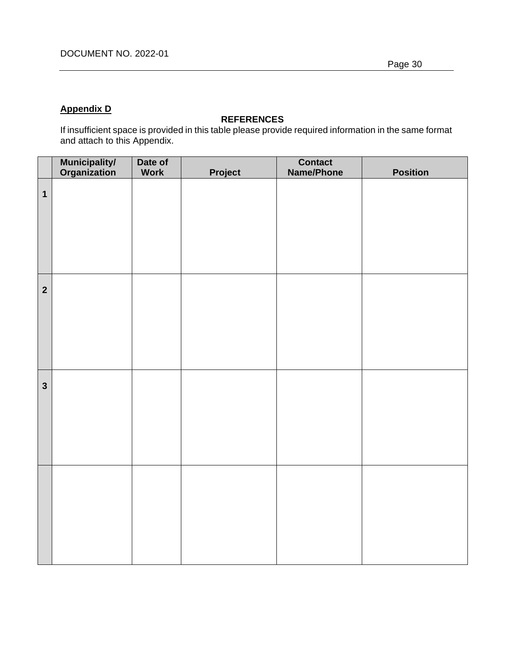# **Appendix D**

## **REFERENCES**

If insufficient space is provided in this table please provide required information in the same format and attach to this Appendix.

|                         | <b>Municipality/</b><br>Organization | Date of<br><b>Work</b> | Project | <b>Contact</b><br>Name/Phone | <b>Position</b> |
|-------------------------|--------------------------------------|------------------------|---------|------------------------------|-----------------|
| $\mathbf{1}$            |                                      |                        |         |                              |                 |
| $\overline{\mathbf{2}}$ |                                      |                        |         |                              |                 |
| $\mathbf{3}$            |                                      |                        |         |                              |                 |
|                         |                                      |                        |         |                              |                 |